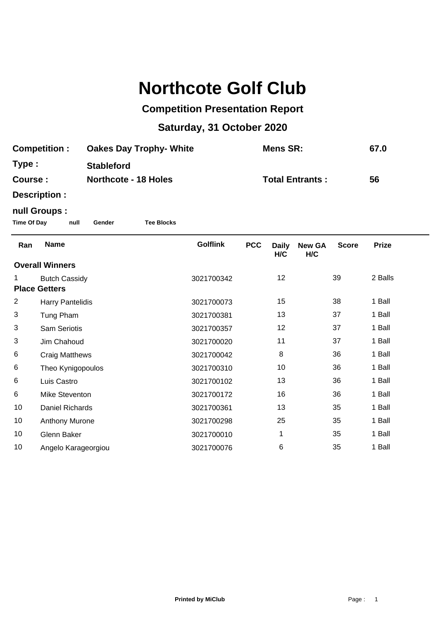# **Northcote Golf Club**

### **Competition Presentation Report**

## **Saturday, 31 October 2020**

| <b>Competition:</b> |                                              |                             | <b>Oakes Day Trophy- White</b> |                 | <b>Mens SR:</b>        |                     | 67.0                 |              |              |
|---------------------|----------------------------------------------|-----------------------------|--------------------------------|-----------------|------------------------|---------------------|----------------------|--------------|--------------|
| Type:               |                                              | <b>Stableford</b>           |                                |                 |                        |                     |                      |              |              |
| Course:             |                                              | <b>Northcote - 18 Holes</b> |                                |                 | <b>Total Entrants:</b> |                     |                      |              | 56           |
|                     | Description :                                |                             |                                |                 |                        |                     |                      |              |              |
|                     | null Groups :                                |                             |                                |                 |                        |                     |                      |              |              |
| <b>Time Of Day</b>  | null                                         | Gender                      | <b>Tee Blocks</b>              |                 |                        |                     |                      |              |              |
| Ran                 | <b>Name</b>                                  |                             |                                | <b>Golflink</b> | <b>PCC</b>             | <b>Daily</b><br>H/C | <b>New GA</b><br>H/C | <b>Score</b> | <b>Prize</b> |
|                     | <b>Overall Winners</b>                       |                             |                                |                 |                        |                     |                      |              |              |
| 1                   | <b>Butch Cassidy</b><br><b>Place Getters</b> |                             |                                | 3021700342      |                        | 12                  |                      | 39           | 2 Balls      |
| $\overline{2}$      | <b>Harry Pantelidis</b>                      |                             |                                | 3021700073      |                        | 15                  |                      | 38           | 1 Ball       |
| 3                   | Tung Pham                                    |                             |                                | 3021700381      |                        | 13                  |                      | 37           | 1 Ball       |
| 3                   | <b>Sam Seriotis</b>                          |                             |                                | 3021700357      |                        | 12                  |                      | 37           | 1 Ball       |
| 3                   | Jim Chahoud                                  |                             |                                | 3021700020      |                        | 11                  |                      | 37           | 1 Ball       |
| 6                   | <b>Craig Matthews</b>                        |                             |                                | 3021700042      |                        | 8                   |                      | 36           | 1 Ball       |
| 6                   | Theo Kynigopoulos                            |                             |                                | 3021700310      |                        | 10                  |                      | 36           | 1 Ball       |
| 6                   | Luis Castro                                  |                             |                                | 3021700102      |                        | 13                  |                      | 36           | 1 Ball       |
| 6                   | Mike Steventon                               |                             |                                | 3021700172      |                        | 16                  |                      | 36           | 1 Ball       |
| 10                  | Daniel Richards                              |                             |                                | 3021700361      |                        | 13                  |                      | 35           | 1 Ball       |
| 10                  | Anthony Murone                               |                             |                                | 3021700298      |                        | 25                  |                      | 35           | 1 Ball       |
| 10                  | Glenn Baker                                  |                             |                                | 3021700010      |                        | 1                   |                      | 35           | 1 Ball       |
| 10                  | Angelo Karageorgiou                          |                             |                                | 3021700076      |                        | 6                   |                      | 35           | 1 Ball       |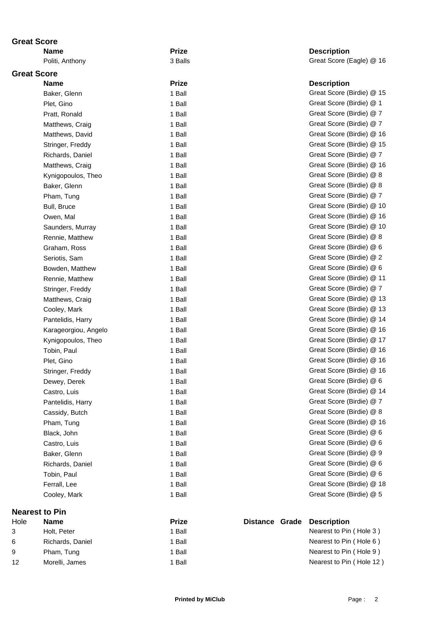### **Great Score**

# **Great Score**

| name                 | <b>Luse</b> | Description               |
|----------------------|-------------|---------------------------|
| Baker, Glenn         | 1 Ball      | Great Score (Birdie) @ 15 |
| Plet, Gino           | 1 Ball      | Great Score (Birdie) @ 1  |
| Pratt, Ronald        | 1 Ball      | Great Score (Birdie) @ 7  |
| Matthews, Craig      | 1 Ball      | Great Score (Birdie) @ 7  |
| Matthews, David      | 1 Ball      | Great Score (Birdie) @ 16 |
| Stringer, Freddy     | 1 Ball      | Great Score (Birdie) @ 15 |
| Richards, Daniel     | 1 Ball      | Great Score (Birdie) @ 7  |
| Matthews, Craig      | 1 Ball      | Great Score (Birdie) @ 16 |
| Kynigopoulos, Theo   | 1 Ball      | Great Score (Birdie) @ 8  |
| Baker, Glenn         | 1 Ball      | Great Score (Birdie) @ 8  |
| Pham, Tung           | 1 Ball      | Great Score (Birdie) @ 7  |
| Bull, Bruce          | 1 Ball      | Great Score (Birdie) @ 10 |
| Owen, Mal            | 1 Ball      | Great Score (Birdie) @ 16 |
| Saunders, Murray     | 1 Ball      | Great Score (Birdie) @ 10 |
| Rennie, Matthew      | 1 Ball      | Great Score (Birdie) @ 8  |
| Graham, Ross         | 1 Ball      | Great Score (Birdie) @ 6  |
| Seriotis, Sam        | 1 Ball      | Great Score (Birdie) @ 2  |
| Bowden, Matthew      | 1 Ball      | Great Score (Birdie) @ 6  |
| Rennie, Matthew      | 1 Ball      | Great Score (Birdie) @ 11 |
| Stringer, Freddy     | 1 Ball      | Great Score (Birdie) @ 7  |
| Matthews, Craig      | 1 Ball      | Great Score (Birdie) @ 13 |
| Cooley, Mark         | 1 Ball      | Great Score (Birdie) @ 13 |
| Pantelidis, Harry    | 1 Ball      | Great Score (Birdie) @ 14 |
| Karageorgiou, Angelo | 1 Ball      | Great Score (Birdie) @ 16 |
| Kynigopoulos, Theo   | 1 Ball      | Great Score (Birdie) @ 17 |
| Tobin, Paul          | 1 Ball      | Great Score (Birdie) @ 16 |
| Plet, Gino           | 1 Ball      | Great Score (Birdie) @ 16 |
| Stringer, Freddy     | 1 Ball      | Great Score (Birdie) @ 16 |
| Dewey, Derek         | 1 Ball      | Great Score (Birdie) @ 6  |
| Castro, Luis         | 1 Ball      | Great Score (Birdie) @ 14 |
| Pantelidis, Harry    | 1 Ball      | Great Score (Birdie) @ 7  |
| Cassidy, Butch       | 1 Ball      | Great Score (Birdie) @ 8  |
| Pham, Tung           | 1 Ball      | Great Score (Birdie) @ 16 |
| Black, John          | 1 Ball      | Great Score (Birdie) @ 6  |
| Castro, Luis         | 1 Ball      | Great Score (Birdie) @ 6  |
| Baker, Glenn         | 1 Ball      | Great Score (Birdie) @ 9  |
| Richards, Daniel     | 1 Ball      | Great Score (Birdie) @ 6  |
| Tobin, Paul          | 1 Ball      | Great Score (Birdie) @ 6  |
| Ferrall, Lee         | 1 Ball      | Great Score (Birdie) @ 18 |
| Cooley, Mark         | 1 Ball      | Great Score (Birdie) @ 5  |

### **Nearest to Pin**

| Hole | <b>Name</b>      | <b>Prize</b> |  | Distance Grade Description |
|------|------------------|--------------|--|----------------------------|
|      | Holt. Peter      | Ball         |  | Nearest to Pin (Hole 3)    |
| 6    | Richards, Daniel | Ball         |  | Nearest to Pin (Hole 6)    |
| 9    | Pham, Tung       | Ball         |  | Nearest to Pin (Hole 9)    |
| 12   | Morelli, James   | Ball         |  | Nearest to Pin (Hole 12)   |

**Name Prize Prize Prize Description** Politi, Anthony **3 Balls** 3 Balls **Great Score (Eagle)** @ 16

#### **Name is a prize in the set of the Description**

| Great Score (Birdie) @ 15 |     |      |
|---------------------------|-----|------|
| Great Score (Birdie)      | @   | 1    |
| Great Score (Birdie)      | @ 7 |      |
| Great Score (Birdie)      | @ 7 |      |
| Great Score (Birdie)      |     | @ 16 |
| Great Score (Birdie) @    |     | 15   |
| Great Score (Birdie)      | @   | 7    |
| Great Score (Birdie)      | @   | 16   |
| Great Score (Birdie)      | @   | 8    |
| Great Score (Birdie)      | @ 8 |      |
| Great Score (Birdie)      | @ 7 |      |
| Great Score (Birdie) @ 10 |     |      |
| Great Score (Birdie) @    |     | 16   |
| Great Score (Birdie) @    |     | 10   |
| Great Score (Birdie)      | @   | 8    |
| Great Score (Birdie)      | @   | 6    |
| Great Score (Birdie)      | @ 2 |      |
| Great Score (Birdie) @ 6  |     |      |
| Great Score (Birdie)      |     | @ 11 |
| Great Score (Birdie)      | @   | 7    |
| Great Score (Birdie)      |     | @ 13 |
| Great Score (Birdie)      | @   | 13   |
| Great Score (Birdie)      | @   | 14   |
| Great Score (Birdie)      | @   | 16   |
| Great Score (Birdie)      | @   | 17   |
| Great Score (Birdie)      | @   | 16   |
| Great Score (Birdie)      | @   | 16   |
| Great Score (Birdie)      | @   | 16   |
| Great Score (Birdie) @    |     | 6    |
| Great Score (Birdie) @ 14 |     |      |
| Great Score (Birdie) @    |     | 7    |
| Great Score (Birdie) @ 8  |     |      |
| Great Score (Birdie) @ 16 |     |      |
| Great Score (Birdie) @    |     | 6    |
| Great Score (Birdie) @    |     | 6    |
| Great Score (Birdie) @ 9  |     |      |
| Great Score (Birdie) @ 6  |     |      |
| Great Score (Birdie) @ 6  |     |      |
| Great Score (Birdie) @ 18 |     |      |
| Great Score (Birdie) @ 5  |     |      |

|  | Distance Grade Description |  |  |
|--|----------------------------|--|--|
|  | Nearest to Pin (Hole 3)    |  |  |
|  | Nearest to Pin (Hole 6)    |  |  |
|  | Nearest to Pin (Hole 9)    |  |  |
|  | Nearest to Pin (Hole 12    |  |  |